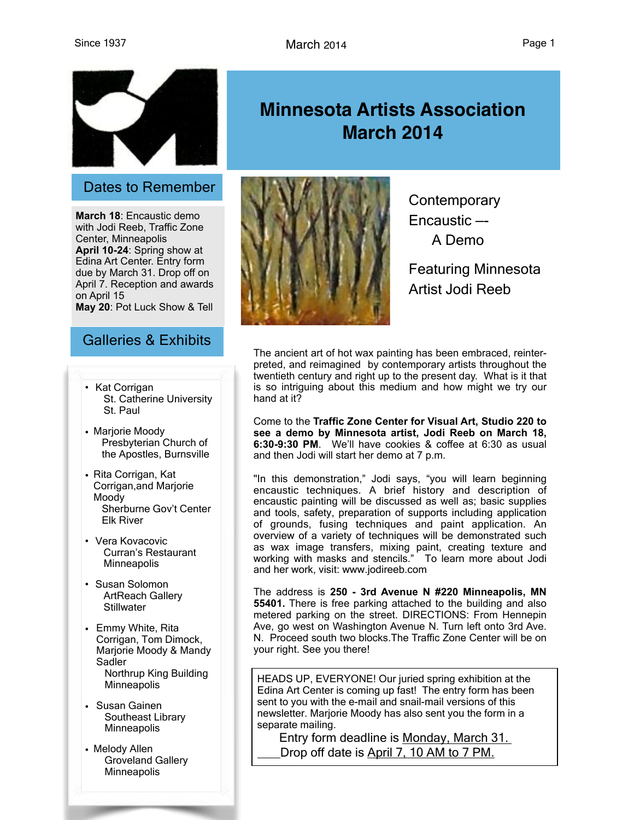

## Dates to Remember

**March 18**: Encaustic demo with Jodi Reeb, Traffic Zone Center, Minneapolis **April 10-24**: Spring show at Edina Art Center. Entry form due by March 31. Drop off on April 7. Reception and awards on April 15 **May 20**: Pot Luck Show & Tell

# Galleries & Exhibits

- Kat Corrigan St. Catherine University St. Paul
- Marjorie Moody Presbyterian Church of the Apostles, Burnsville
- Rita Corrigan, Kat Corrigan,and Marjorie Moody Sherburne Gov't Center Elk River
- Vera Kovacovic Curran's Restaurant **Minneapolis**
- Susan Solomon ArtReach Gallery **Stillwater**
- Emmy White, Rita Corrigan, Tom Dimock, Marjorie Moody & Mandy Sadler Northrup King Building **Minneapolis**
- Susan Gainen Southeast Library Minneapolis
- Melody Allen Groveland Gallery **Minneapolis**





**Contemporary** Encaustic —- A Demo

Featuring Minnesota Artist Jodi Reeb

The ancient art of hot wax painting has been embraced, reinterpreted, and reimagined by contemporary artists throughout the twentieth century and right up to the present day. What is it that is so intriguing about this medium and how might we try our hand at it?

Come to the **Traffic Zone Center for Visual Art, Studio 220 to see a demo by Minnesota artist, Jodi Reeb on March 18, 6:30-9:30 PM**. We'll have cookies & coffee at 6:30 as usual and then Jodi will start her demo at 7 p.m.

"In this demonstration," Jodi says, "you will learn beginning encaustic techniques. A brief history and description of encaustic painting will be discussed as well as; basic supplies and tools, safety, preparation of supports including application of grounds, fusing techniques and paint application. An overview of a variety of techniques will be demonstrated such as wax image transfers, mixing paint, creating texture and working with masks and stencils." To learn more about Jodi and her work, visit: [www.jodireeb.com](http://www.jodireeb.com/)

The address is **250 - 3rd Avenue N #220 Minneapolis, MN 55401.** There is free parking attached to the building and also metered parking on the street. DIRECTIONS: From Hennepin Ave, go west on Washington Avenue N. Turn left onto 3rd Ave. N. Proceed south two blocks.The Traffic Zone Center will be on your right. See you there!

HEADS UP, EVERYONE! Our juried spring exhibition at the Edina Art Center is coming up fast! The entry form has been sent to you with the e-mail and snail-mail versions of this newsletter. Marjorie Moody has also sent you the form in a separate mailing.

 Entry form deadline is Monday, March 31. Drop off date is April 7, 10 AM to 7 PM.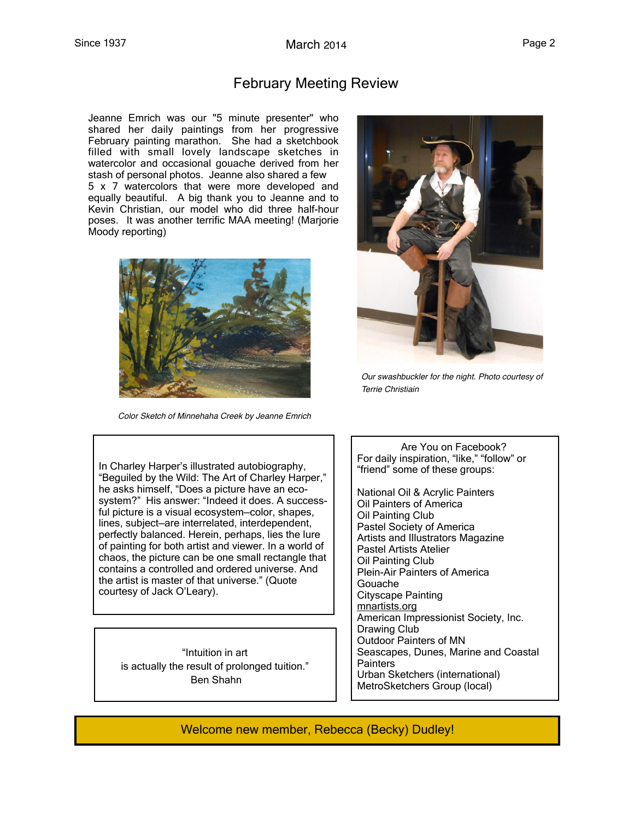## February Meeting Review

Jeanne Emrich was our "5 minute presenter" who shared her daily paintings from her progressive February painting marathon. She had a sketchbook filled with small lovely landscape sketches in watercolor and occasional gouache derived from her stash of personal photos. Jeanne also shared a few 5 x 7 watercolors that were more developed and equally beautiful. A big thank you to Jeanne and to Kevin Christian, our model who did three half-hour poses. It was another terrific MAA meeting! (Marjorie Moody reporting)



 *Color Sketch of Minnehaha Creek by Jeanne Emrich*



*Our swashbuckler for the night. Photo courtesy of Terrie Christiain* 

In Charley Harper's illustrated autobiography, "Beguiled by the Wild: The Art of Charley Harper," he asks himself, "Does a picture have an ecosystem?" His answer: "Indeed it does. A successful picture is a visual ecosystem—color, shapes, lines, subject—are interrelated, interdependent, perfectly balanced. Herein, perhaps, lies the lure of painting for both artist and viewer. In a world of chaos, the picture can be one small rectangle that contains a controlled and ordered universe. And the artist is master of that universe." (Quote courtesy of Jack O'Leary).

"Intuition in art is actually the result of prolonged tuition." Ben Shahn

 Are You on Facebook? For daily inspiration, "like," "follow" or "friend" some of these groups:

National Oil & Acrylic Painters Oil Painters of America Oil Painting Club Pastel Society of America Artists and Illustrators Magazine Pastel Artists Atelier Oil Painting Club Plein-Air Painters of America Gouache Cityscape Painting mnartists.org American Impressionist Society, Inc. Drawing Club Outdoor Painters of MN Seascapes, Dunes, Marine and Coastal **Painters** Urban Sketchers (international) MetroSketchers Group (local)

Welcome new member, Rebecca (Becky) Dudley!